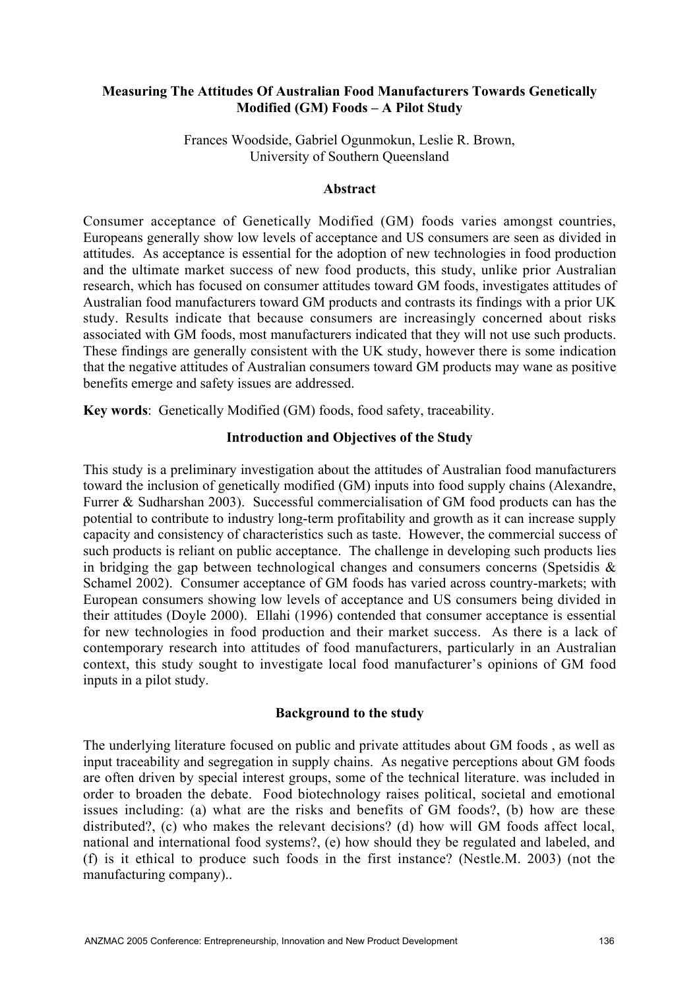# Measuring The Attitudes Of Australian Food Manufacturers Towards Genetically Modified (GM) Foods – A Pilot Study

Frances Woodside, Gabriel Ogunmokun, Leslie R. Brown, University of Southern Queensland

#### Abstract

Consumer acceptance of Genetically Modified (GM) foods varies amongst countries, Europeans generally show low levels of acceptance and US consumers are seen as divided in attitudes. As acceptance is essential for the adoption of new technologies in food production and the ultimate market success of new food products, this study, unlike prior Australian research, which has focused on consumer attitudes toward GM foods, investigates attitudes of Australian food manufacturers toward GM products and contrasts its findings with a prior UK study. Results indicate that because consumers are increasingly concerned about risks associated with GM foods, most manufacturers indicated that they will not use such products. These findings are generally consistent with the UK study, however there is some indication that the negative attitudes of Australian consumers toward GM products may wane as positive benefits emerge and safety issues are addressed.

Key words: Genetically Modified (GM) foods, food safety, traceability.

## Introduction and Objectives of the Study

This study is a preliminary investigation about the attitudes of Australian food manufacturers toward the inclusion of genetically modified (GM) inputs into food supply chains (Alexandre, Furrer & Sudharshan 2003). Successful commercialisation of GM food products can has the potential to contribute to industry long-term profitability and growth as it can increase supply capacity and consistency of characteristics such as taste. However, the commercial success of such products is reliant on public acceptance. The challenge in developing such products lies in bridging the gap between technological changes and consumers concerns (Spetsidis  $\&$ Schamel 2002). Consumer acceptance of GM foods has varied across country-markets; with European consumers showing low levels of acceptance and US consumers being divided in their attitudes (Doyle 2000). Ellahi (1996) contended that consumer acceptance is essential for new technologies in food production and their market success. As there is a lack of contemporary research into attitudes of food manufacturers, particularly in an Australian context, this study sought to investigate local food manufacturer's opinions of GM food inputs in a pilot study.

### Background to the study

The underlying literature focused on public and private attitudes about GM foods , as well as input traceability and segregation in supply chains. As negative perceptions about GM foods are often driven by special interest groups, some of the technical literature. was included in order to broaden the debate. Food biotechnology raises political, societal and emotional issues including: (a) what are the risks and benefits of GM foods?, (b) how are these distributed?, (c) who makes the relevant decisions? (d) how will GM foods affect local, national and international food systems?, (e) how should they be regulated and labeled, and (f) is it ethical to produce such foods in the first instance? (Nestle.M. 2003) (not the manufacturing company)..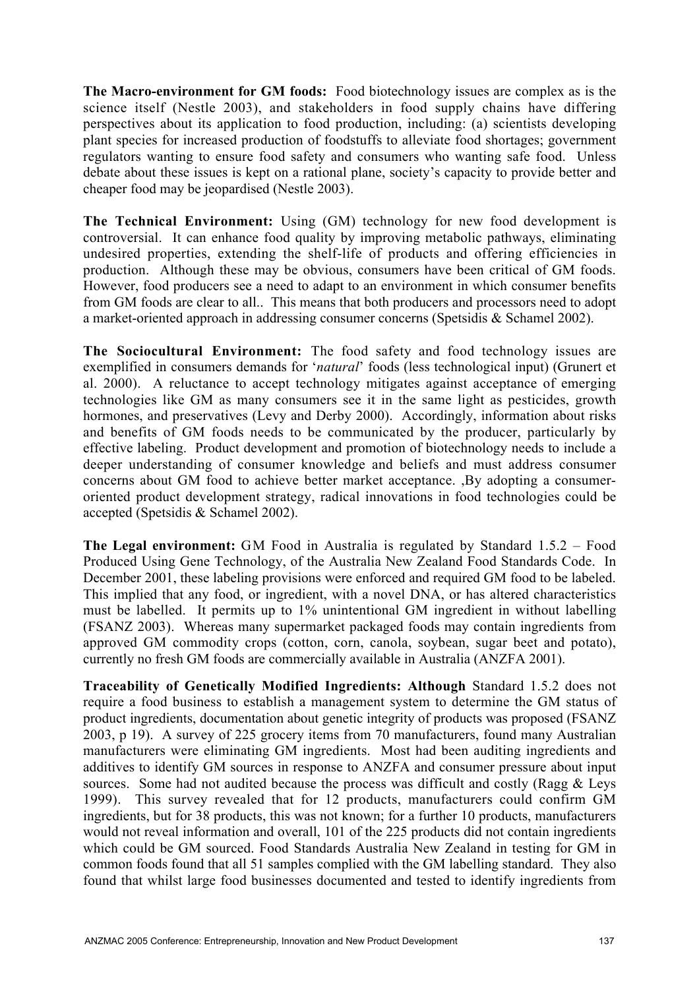The Macro-environment for GM foods: Food biotechnology issues are complex as is the science itself (Nestle 2003), and stakeholders in food supply chains have differing perspectives about its application to food production, including: (a) scientists developing plant species for increased production of foodstuffs to alleviate food shortages; government regulators wanting to ensure food safety and consumers who wanting safe food. Unless debate about these issues is kept on a rational plane, society's capacity to provide better and cheaper food may be jeopardised (Nestle 2003).

The Technical Environment: Using (GM) technology for new food development is controversial. It can enhance food quality by improving metabolic pathways, eliminating undesired properties, extending the shelf-life of products and offering efficiencies in production. Although these may be obvious, consumers have been critical of GM foods. However, food producers see a need to adapt to an environment in which consumer benefits from GM foods are clear to all.. This means that both producers and processors need to adopt a market-oriented approach in addressing consumer concerns (Spetsidis & Schamel 2002).

The Sociocultural Environment: The food safety and food technology issues are exemplified in consumers demands for '*natural*' foods (less technological input) (Grunert et al. 2000). A reluctance to accept technology mitigates against acceptance of emerging technologies like GM as many consumers see it in the same light as pesticides, growth hormones, and preservatives (Levy and Derby 2000). Accordingly, information about risks and benefits of GM foods needs to be communicated by the producer, particularly by effective labeling. Product development and promotion of biotechnology needs to include a deeper understanding of consumer knowledge and beliefs and must address consumer concerns about GM food to achieve better market acceptance. ,By adopting a consumeroriented product development strategy, radical innovations in food technologies could be accepted (Spetsidis & Schamel 2002).

The Legal environment: GM Food in Australia is regulated by Standard 1.5.2 – Food Produced Using Gene Technology, of the Australia New Zealand Food Standards Code. In December 2001, these labeling provisions were enforced and required GM food to be labeled. This implied that any food, or ingredient, with a novel DNA, or has altered characteristics must be labelled. It permits up to 1% unintentional GM ingredient in without labelling (FSANZ 2003). Whereas many supermarket packaged foods may contain ingredients from approved GM commodity crops (cotton, corn, canola, soybean, sugar beet and potato), currently no fresh GM foods are commercially available in Australia (ANZFA 2001).

Traceability of Genetically Modified Ingredients: Although Standard 1.5.2 does not require a food business to establish a management system to determine the GM status of product ingredients, documentation about genetic integrity of products was proposed (FSANZ 2003, p 19). A survey of 225 grocery items from 70 manufacturers, found many Australian manufacturers were eliminating GM ingredients. Most had been auditing ingredients and additives to identify GM sources in response to ANZFA and consumer pressure about input sources. Some had not audited because the process was difficult and costly (Ragg & Leys 1999). This survey revealed that for 12 products, manufacturers could confirm GM ingredients, but for 38 products, this was not known; for a further 10 products, manufacturers would not reveal information and overall, 101 of the 225 products did not contain ingredients which could be GM sourced. Food Standards Australia New Zealand in testing for GM in common foods found that all 51 samples complied with the GM labelling standard. They also found that whilst large food businesses documented and tested to identify ingredients from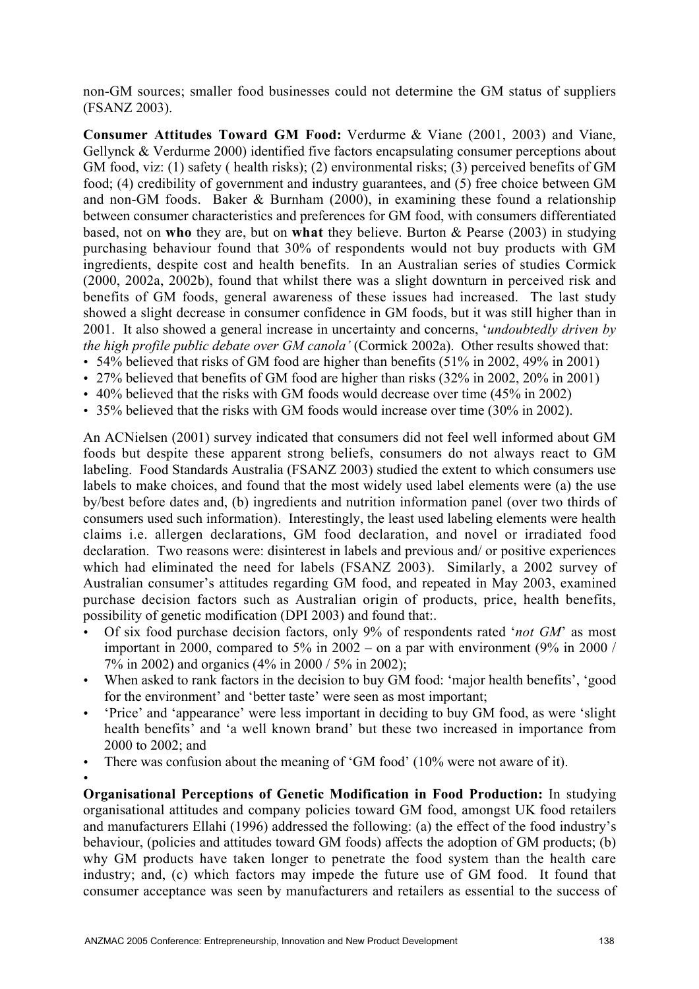non-GM sources; smaller food businesses could not determine the GM status of suppliers (FSANZ 2003).

Consumer Attitudes Toward GM Food: Verdurme & Viane (2001, 2003) and Viane, Gellynck & Verdurme 2000) identified five factors encapsulating consumer perceptions about GM food, viz: (1) safety ( health risks); (2) environmental risks; (3) perceived benefits of GM food; (4) credibility of government and industry guarantees, and (5) free choice between GM and non-GM foods. Baker & Burnham (2000), in examining these found a relationship between consumer characteristics and preferences for GM food, with consumers differentiated based, not on who they are, but on what they believe. Burton  $\&$  Pearse (2003) in studying purchasing behaviour found that 30% of respondents would not buy products with GM ingredients, despite cost and health benefits. In an Australian series of studies Cormick (2000, 2002a, 2002b), found that whilst there was a slight downturn in perceived risk and benefits of GM foods, general awareness of these issues had increased. The last study showed a slight decrease in consumer confidence in GM foods, but it was still higher than in 2001. It also showed a general increase in uncertainty and concerns, '*undoubtedly driven by the high profile public debate over GM canola'* (Cormick 2002a). Other results showed that:

- 54% believed that risks of GM food are higher than benefits (51% in 2002, 49% in 2001)
- 27% believed that benefits of GM food are higher than risks (32% in 2002, 20% in 2001)
- 40% believed that the risks with GM foods would decrease over time (45% in 2002)
- 35% believed that the risks with GM foods would increase over time (30% in 2002).

An ACNielsen (2001) survey indicated that consumers did not feel well informed about GM foods but despite these apparent strong beliefs, consumers do not always react to GM labeling. Food Standards Australia (FSANZ 2003) studied the extent to which consumers use labels to make choices, and found that the most widely used label elements were (a) the use by/best before dates and, (b) ingredients and nutrition information panel (over two thirds of consumers used such information). Interestingly, the least used labeling elements were health claims i.e. allergen declarations, GM food declaration, and novel or irradiated food declaration. Two reasons were: disinterest in labels and previous and/ or positive experiences which had eliminated the need for labels (FSANZ 2003). Similarly, a 2002 survey of Australian consumer's attitudes regarding GM food, and repeated in May 2003, examined purchase decision factors such as Australian origin of products, price, health benefits, possibility of genetic modification (DPI 2003) and found that:.

- Of six food purchase decision factors, only 9% of respondents rated '*not GM*' as most important in 2000, compared to 5% in 2002 – on a par with environment  $(9\%$  in 2000 / 7% in 2002) and organics (4% in 2000 / 5% in 2002);
- When asked to rank factors in the decision to buy GM food: 'major health benefits', 'good for the environment' and 'better taste' were seen as most important;
- 'Price' and 'appearance' were less important in deciding to buy GM food, as were 'slight health benefits' and 'a well known brand' but these two increased in importance from 2000 to 2002; and

• There was confusion about the meaning of 'GM food' (10% were not aware of it).

•

Organisational Perceptions of Genetic Modification in Food Production: In studying organisational attitudes and company policies toward GM food, amongst UK food retailers and manufacturers Ellahi (1996) addressed the following: (a) the effect of the food industry's behaviour, (policies and attitudes toward GM foods) affects the adoption of GM products; (b) why GM products have taken longer to penetrate the food system than the health care industry; and, (c) which factors may impede the future use of GM food. It found that consumer acceptance was seen by manufacturers and retailers as essential to the success of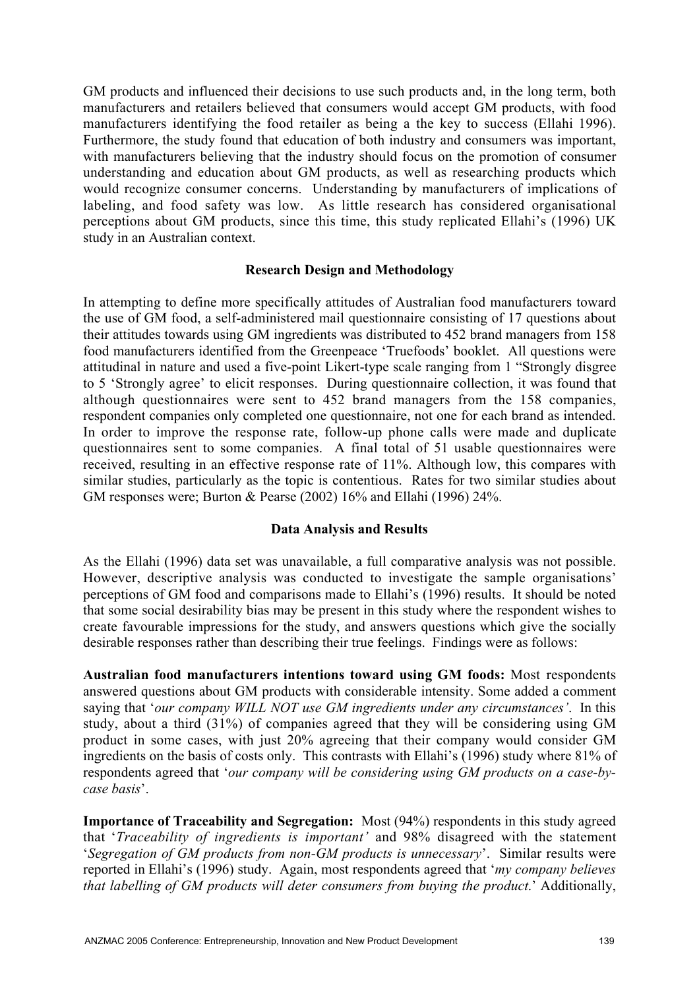GM products and influenced their decisions to use such products and, in the long term, both manufacturers and retailers believed that consumers would accept GM products, with food manufacturers identifying the food retailer as being a the key to success (Ellahi 1996). Furthermore, the study found that education of both industry and consumers was important, with manufacturers believing that the industry should focus on the promotion of consumer understanding and education about GM products, as well as researching products which would recognize consumer concerns. Understanding by manufacturers of implications of labeling, and food safety was low. As little research has considered organisational perceptions about GM products, since this time, this study replicated Ellahi's (1996) UK study in an Australian context.

### Research Design and Methodology

In attempting to define more specifically attitudes of Australian food manufacturers toward the use of GM food, a self-administered mail questionnaire consisting of 17 questions about their attitudes towards using GM ingredients was distributed to 452 brand managers from 158 food manufacturers identified from the Greenpeace 'Truefoods' booklet. All questions were attitudinal in nature and used a five-point Likert-type scale ranging from 1 "Strongly disgree to 5 'Strongly agree' to elicit responses. During questionnaire collection, it was found that although questionnaires were sent to 452 brand managers from the 158 companies, respondent companies only completed one questionnaire, not one for each brand as intended. In order to improve the response rate, follow-up phone calls were made and duplicate questionnaires sent to some companies. A final total of 51 usable questionnaires were received, resulting in an effective response rate of 11%. Although low, this compares with similar studies, particularly as the topic is contentious. Rates for two similar studies about GM responses were; Burton & Pearse (2002) 16% and Ellahi (1996) 24%.

### Data Analysis and Results

As the Ellahi (1996) data set was unavailable, a full comparative analysis was not possible. However, descriptive analysis was conducted to investigate the sample organisations' perceptions of GM food and comparisons made to Ellahi's (1996) results. It should be noted that some social desirability bias may be present in this study where the respondent wishes to create favourable impressions for the study, and answers questions which give the socially desirable responses rather than describing their true feelings. Findings were as follows:

Australian food manufacturers intentions toward using GM foods: Most respondents answered questions about GM products with considerable intensity. Some added a comment saying that '*our company WILL NOT use GM ingredients under any circumstances'*. In this study, about a third (31%) of companies agreed that they will be considering using GM product in some cases, with just 20% agreeing that their company would consider GM ingredients on the basis of costs only. This contrasts with Ellahi's (1996) study where 81% of respondents agreed that '*our company will be considering using GM products on a case-bycase basis*'.

Importance of Traceability and Segregation: Most (94%) respondents in this study agreed that '*Traceability of ingredients is important'* and 98% disagreed with the statement '*Segregation of GM products from non-GM products is unnecessary*'. Similar results were reported in Ellahi's (1996) study. Again, most respondents agreed that '*my company believes that labelling of GM products will deter consumers from buying the product*.' Additionally,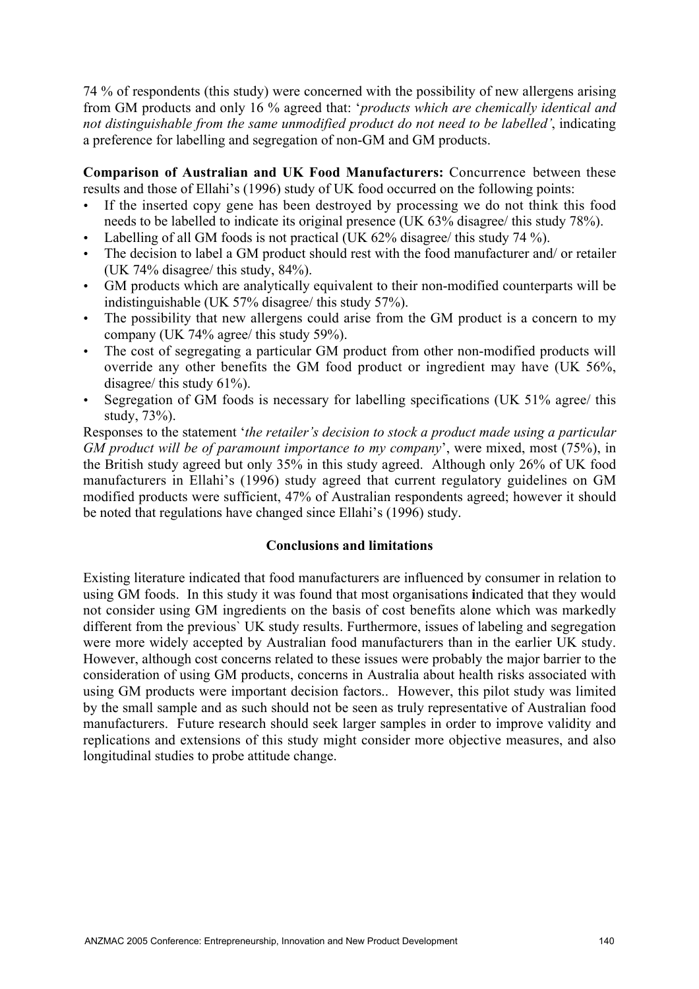74 % of respondents (this study) were concerned with the possibility of new allergens arising from GM products and only 16 % agreed that: '*products which are chemically identical and not distinguishable from the same unmodified product do not need to be labelled'*, indicating a preference for labelling and segregation of non-GM and GM products.

Comparison of Australian and UK Food Manufacturers: Concurrence between these results and those of Ellahi's (1996) study of UK food occurred on the following points:

- If the inserted copy gene has been destroyed by processing we do not think this food needs to be labelled to indicate its original presence (UK 63% disagree/ this study 78%).
- Labelling of all GM foods is not practical (UK 62% disagree/ this study 74 %).
- The decision to label a GM product should rest with the food manufacturer and/ or retailer (UK 74% disagree/ this study, 84%).
- GM products which are analytically equivalent to their non-modified counterparts will be indistinguishable (UK 57% disagree/ this study 57%).
- The possibility that new allergens could arise from the GM product is a concern to my company (UK 74% agree/ this study 59%).
- The cost of segregating a particular GM product from other non-modified products will override any other benefits the GM food product or ingredient may have (UK 56%, disagree/ this study 61%).
- Segregation of GM foods is necessary for labelling specifications (UK 51% agree/ this study, 73%).

Responses to the statement '*the retailer's decision to stock a product made using a particular GM product will be of paramount importance to my company*', were mixed, most (75%), in the British study agreed but only 35% in this study agreed. Although only 26% of UK food manufacturers in Ellahi's (1996) study agreed that current regulatory guidelines on GM modified products were sufficient, 47% of Australian respondents agreed; however it should be noted that regulations have changed since Ellahi's (1996) study.

### Conclusions and limitations

Existing literature indicated that food manufacturers are influenced by consumer in relation to using GM foods. In this study it was found that most organisations indicated that they would not consider using GM ingredients on the basis of cost benefits alone which was markedly different from the previous` UK study results. Furthermore, issues of labeling and segregation were more widely accepted by Australian food manufacturers than in the earlier UK study. However, although cost concerns related to these issues were probably the major barrier to the consideration of using GM products, concerns in Australia about health risks associated with using GM products were important decision factors.. However, this pilot study was limited by the small sample and as such should not be seen as truly representative of Australian food manufacturers. Future research should seek larger samples in order to improve validity and replications and extensions of this study might consider more objective measures, and also longitudinal studies to probe attitude change.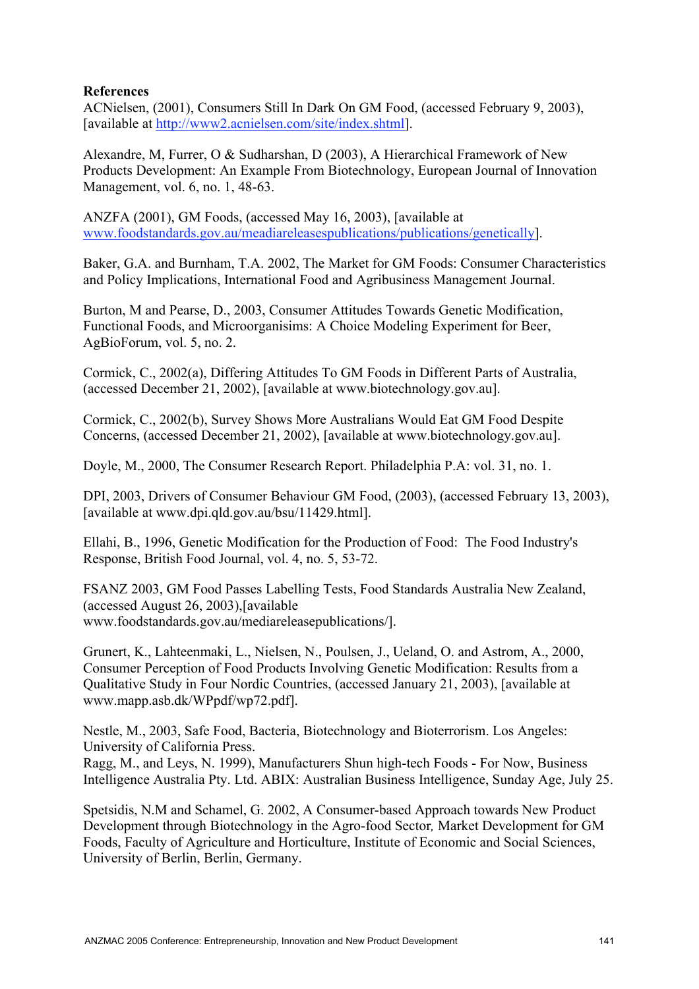## References

ACNielsen, (2001), Consumers Still In Dark On GM Food, (accessed February 9, 2003), [available at http://www2.acnielsen.com/site/index.shtml].

Alexandre, M, Furrer, O & Sudharshan, D (2003), A Hierarchical Framework of New Products Development: An Example From Biotechnology, European Journal of Innovation Management, vol. 6, no. 1, 48-63.

ANZFA (2001), GM Foods, (accessed May 16, 2003), [available at www.foodstandards.gov.au/meadiareleasespublications/publications/genetically].

Baker, G.A. and Burnham, T.A. 2002, The Market for GM Foods: Consumer Characteristics and Policy Implications, International Food and Agribusiness Management Journal.

Burton, M and Pearse, D., 2003, Consumer Attitudes Towards Genetic Modification, Functional Foods, and Microorganisims: A Choice Modeling Experiment for Beer, AgBioForum, vol. 5, no. 2.

Cormick, C., 2002(a), Differing Attitudes To GM Foods in Different Parts of Australia, (accessed December 21, 2002), [available at www.biotechnology.gov.au].

Cormick, C., 2002(b), Survey Shows More Australians Would Eat GM Food Despite Concerns, (accessed December 21, 2002), [available at www.biotechnology.gov.au].

Doyle, M., 2000, The Consumer Research Report. Philadelphia P.A: vol. 31, no. 1.

DPI, 2003, Drivers of Consumer Behaviour GM Food, (2003), (accessed February 13, 2003), [available at www.dpi.qld.gov.au/bsu/11429.html].

Ellahi, B., 1996, Genetic Modification for the Production of Food: The Food Industry's Response, British Food Journal, vol. 4, no. 5, 53-72.

FSANZ 2003, GM Food Passes Labelling Tests, Food Standards Australia New Zealand, (accessed August 26, 2003),[available www.foodstandards.gov.au/mediareleasepublications/].

Grunert, K., Lahteenmaki, L., Nielsen, N., Poulsen, J., Ueland, O. and Astrom, A., 2000, Consumer Perception of Food Products Involving Genetic Modification: Results from a Qualitative Study in Four Nordic Countries, (accessed January 21, 2003), [available at www.mapp.asb.dk/WPpdf/wp72.pdf].

Nestle, M., 2003, Safe Food, Bacteria, Biotechnology and Bioterrorism. Los Angeles: University of California Press.

Ragg, M., and Leys, N. 1999), Manufacturers Shun high-tech Foods - For Now, Business Intelligence Australia Pty. Ltd. ABIX: Australian Business Intelligence, Sunday Age, July 25.

Spetsidis, N.M and Schamel, G. 2002, A Consumer-based Approach towards New Product Development through Biotechnology in the Agro-food Sector*,* Market Development for GM Foods, Faculty of Agriculture and Horticulture, Institute of Economic and Social Sciences, University of Berlin, Berlin, Germany.